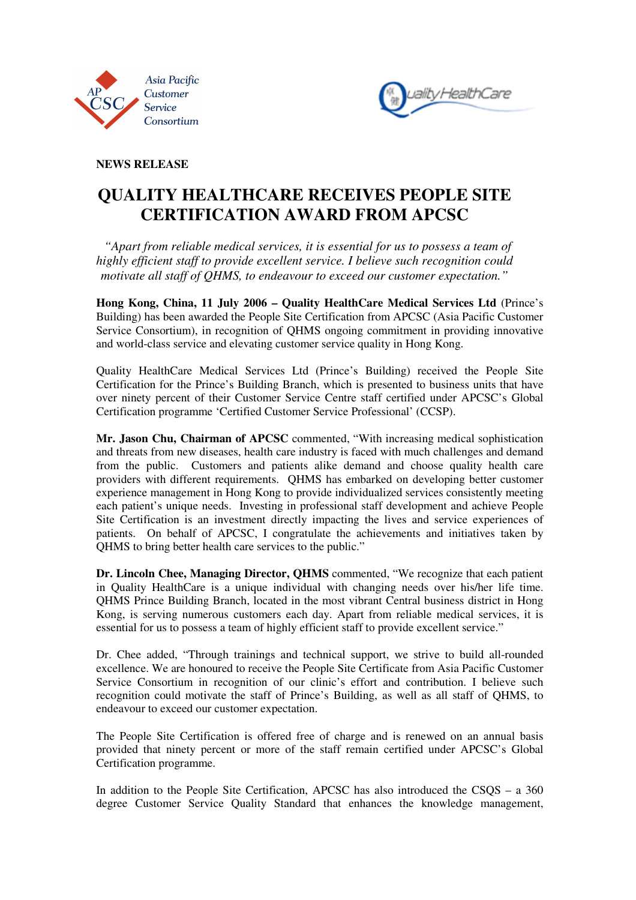



**NEWS RELEASE** 

## **QUALITY HEALTHCARE RECEIVES PEOPLE SITE CERTIFICATION AWARD FROM APCSC**

 *"Apart from reliable medical services, it is essential for us to possess a team of highly efficient staff to provide excellent service. I believe such recognition could motivate all staff of QHMS, to endeavour to exceed our customer expectation."* 

**Hong Kong, China, 11 July 2006 – Quality HealthCare Medical Services Ltd** (Prince's Building) has been awarded the People Site Certification from APCSC (Asia Pacific Customer Service Consortium), in recognition of QHMS ongoing commitment in providing innovative and world-class service and elevating customer service quality in Hong Kong.

Quality HealthCare Medical Services Ltd (Prince's Building) received the People Site Certification for the Prince's Building Branch, which is presented to business units that have over ninety percent of their Customer Service Centre staff certified under APCSC's Global Certification programme 'Certified Customer Service Professional' (CCSP).

**Mr. Jason Chu, Chairman of APCSC** commented, "With increasing medical sophistication and threats from new diseases, health care industry is faced with much challenges and demand from the public. Customers and patients alike demand and choose quality health care providers with different requirements. QHMS has embarked on developing better customer experience management in Hong Kong to provide individualized services consistently meeting each patient's unique needs. Investing in professional staff development and achieve People Site Certification is an investment directly impacting the lives and service experiences of patients. On behalf of APCSC, I congratulate the achievements and initiatives taken by QHMS to bring better health care services to the public."

**Dr. Lincoln Chee, Managing Director, QHMS** commented, "We recognize that each patient in Quality HealthCare is a unique individual with changing needs over his/her life time. QHMS Prince Building Branch, located in the most vibrant Central business district in Hong Kong, is serving numerous customers each day. Apart from reliable medical services, it is essential for us to possess a team of highly efficient staff to provide excellent service."

Dr. Chee added, "Through trainings and technical support, we strive to build all-rounded excellence. We are honoured to receive the People Site Certificate from Asia Pacific Customer Service Consortium in recognition of our clinic's effort and contribution. I believe such recognition could motivate the staff of Prince's Building, as well as all staff of QHMS, to endeavour to exceed our customer expectation.

The People Site Certification is offered free of charge and is renewed on an annual basis provided that ninety percent or more of the staff remain certified under APCSC's Global Certification programme.

In addition to the People Site Certification, APCSC has also introduced the CSQS – a 360 degree Customer Service Quality Standard that enhances the knowledge management,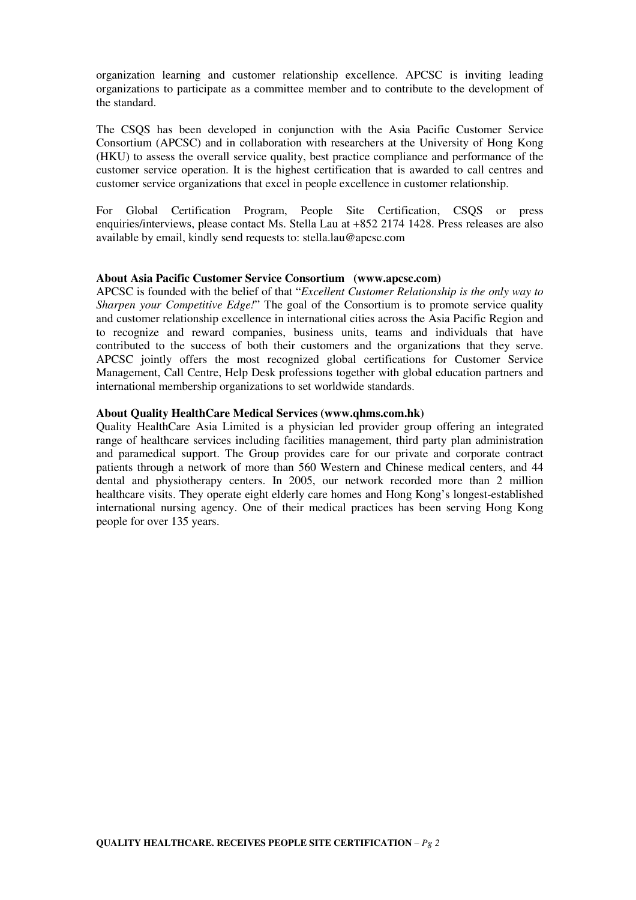organization learning and customer relationship excellence. APCSC is inviting leading organizations to participate as a committee member and to contribute to the development of the standard.

The CSQS has been developed in conjunction with the Asia Pacific Customer Service Consortium (APCSC) and in collaboration with researchers at the University of Hong Kong (HKU) to assess the overall service quality, best practice compliance and performance of the customer service operation. It is the highest certification that is awarded to call centres and customer service organizations that excel in people excellence in customer relationship.

For Global Certification Program, People Site Certification, CSQS or press enquiries/interviews, please contact Ms. Stella Lau at +852 2174 1428. Press releases are also available by email, kindly send requests to: stella.lau@apcsc.com

## **About Asia Pacific Customer Service Consortium (www.apcsc.com)**

APCSC is founded with the belief of that "*Excellent Customer Relationship is the only way to Sharpen your Competitive Edge!*" The goal of the Consortium is to promote service quality and customer relationship excellence in international cities across the Asia Pacific Region and to recognize and reward companies, business units, teams and individuals that have contributed to the success of both their customers and the organizations that they serve. APCSC jointly offers the most recognized global certifications for Customer Service Management, Call Centre, Help Desk professions together with global education partners and international membership organizations to set worldwide standards.

## **About Quality HealthCare Medical Services (www.qhms.com.hk)**

Quality HealthCare Asia Limited is a physician led provider group offering an integrated range of healthcare services including facilities management, third party plan administration and paramedical support. The Group provides care for our private and corporate contract patients through a network of more than 560 Western and Chinese medical centers, and 44 dental and physiotherapy centers. In 2005, our network recorded more than 2 million healthcare visits. They operate eight elderly care homes and Hong Kong's longest-established international nursing agency. One of their medical practices has been serving Hong Kong people for over 135 years.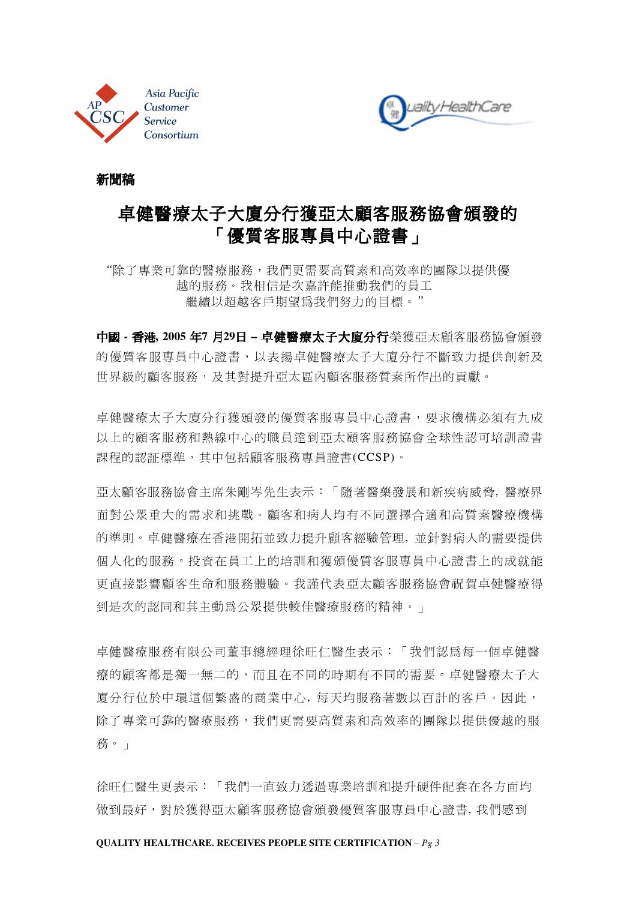



新聞稿

# 卓健醫療太子大廈分行獲亞太顧客服務協會頒發的 「優質客服專員中心證書」

"除了專業可靠的醫療服務,我們更需要高質素和高效率的團隊以提供優 越的服務。我相信是次嘉許能推動我們的員工 繼續以超越客戶期望為我們努力的目標。*"* 

中國 **-** 香港**, 2005** 年**7** 月**29**日 **–** 卓健醫療太子大廈分行榮獲亞太顧客服務協會頒發 的優質客服專員中心證書,以表揚卓健醫療太子大廈分行不斷致力提供創新及 世界級的顧客服務,及其對提升亞太區內顧客服務質素所作出的貢獻。

卓健醫療太子大廈分行獲頒發的優質客服專員中心證書,要求機構必須有九成 以上的顧客服務和熱線中心的職員達到亞太顧客服務協會全球性認可培訓證書 課程的認証標準,其中包括顧客服務專員證書(CCSP)。

亞太顧客服務協會主席朱剛岑先生表示:「隨著醫藥發展和新疾病威脅, 醫療界 面對公眾重大的需求和挑戰。顧客和病人均有不同選擇合適和高質素醫療機構 的準則。卓健醫療在香港開拓並致力提升顧客經驗管理, 並針對病人的需要提供 個人化的服務。投資在員工上的培訓和獲頒優質客服專員中心證書上的成就能 更直接影響顧客生命和服務體驗。我謹代表亞太顧客服務協會祝賀卓健醫療得 到是次的認同和其主動為公眾提供較佳醫療服務的精神。」

卓健醫療服務有限公司董事總經理徐旺仁醫生表示:「我們認為每一個卓健醫 療的顧客都是獨一無二的,而且在不同的時期有不同的需要。卓健醫療太子大 廈分行位於中環這個繁盛的商業中心, 每天均服務著數以百計的客戶。因此, 除了專業可靠的醫療服務,我們更需要高質素和高效率的團隊以提供優越的服 務。」

徐旺仁醫生更表示:「我們一直致力透過專業培訓和提升硬件配套在各方面均 做到最好,對於獲得亞太顧客服務協會頒發優質客服專員中心證書, 我們感到